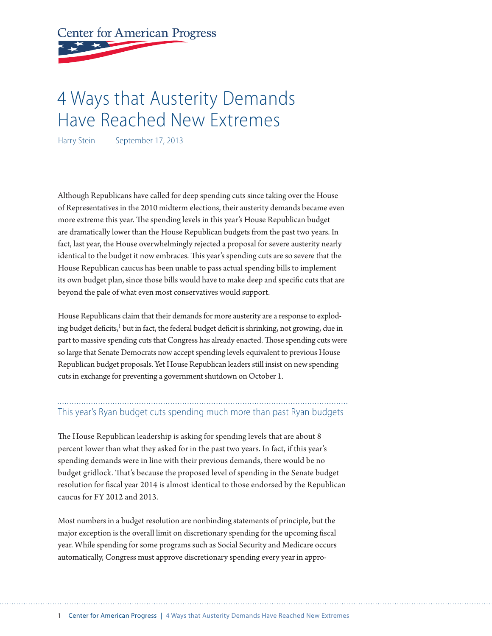# **Center for American Progress**

## 4 Ways that Austerity Demands Have Reached New Extremes

Harry Stein September 17, 2013

Although Republicans have called for deep spending cuts since taking over the House of Representatives in the 2010 midterm elections, their austerity demands became even more extreme this year. The spending levels in this year's House Republican budget are dramatically lower than the House Republican budgets from the past two years. In fact, last year, the House overwhelmingly rejected a proposal for severe austerity nearly identical to the budget it now embraces. This year's spending cuts are so severe that the House Republican caucus has been unable to pass actual spending bills to implement its own budget plan, since those bills would have to make deep and specific cuts that are beyond the pale of what even most conservatives would support.

House Republicans claim that their demands for more austerity are a response to exploding budget deficits,<sup>1</sup> but in fact, the federal budget deficit is shrinking, not growing, due in part to massive spending cuts that Congress has already enacted. Those spending cuts were so large that Senate Democrats now accept spending levels equivalent to previous House Republican budget proposals. Yet House Republican leaders still insist on new spending cuts in exchange for preventing a government shutdown on October 1.

### This year's Ryan budget cuts spending much more than past Ryan budgets

The House Republican leadership is asking for spending levels that are about 8 percent lower than what they asked for in the past two years. In fact, if this year's spending demands were in line with their previous demands, there would be no budget gridlock. That's because the proposed level of spending in the Senate budget resolution for fiscal year 2014 is almost identical to those endorsed by the Republican caucus for FY 2012 and 2013.

Most numbers in a budget resolution are nonbinding statements of principle, but the major exception is the overall limit on discretionary spending for the upcoming fiscal year. While spending for some programs such as Social Security and Medicare occurs automatically, Congress must approve discretionary spending every year in appro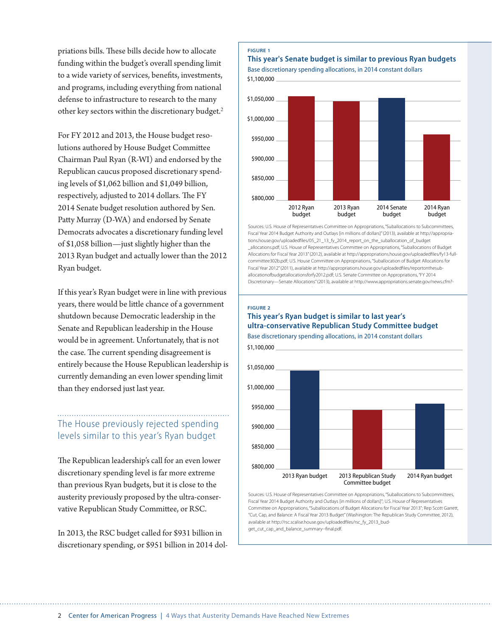priations bills. These bills decide how to allocate funding within the budget's overall spending limit to a wide variety of services, benefits, investments, and programs, including everything from national defense to infrastructure to research to the many other key sectors within the discretionary budget.<sup>2</sup>

For FY 2012 and 2013, the House budget resolutions authored by House Budget Committee Chairman Paul Ryan (R-WI) and endorsed by the Republican caucus proposed discretionary spending levels of \$1,062 billion and \$1,049 billion, respectively, adjusted to 2014 dollars. The FY 2014 Senate budget resolution authored by Sen. Patty Murray (D-WA) and endorsed by Senate Democrats advocates a discretionary funding level of \$1,058 billion—just slightly higher than the 2013 Ryan budget and actually lower than the 2012 Ryan budget.

If this year's Ryan budget were in line with previous years, there would be little chance of a government shutdown because Democratic leadership in the Senate and Republican leadership in the House would be in agreement. Unfortunately, that is not the case. The current spending disagreement is entirely because the House Republican leadership is currently demanding an even lower spending limit than they endorsed just last year.

## The House previously rejected spending levels similar to this year's Ryan budget

The Republican leadership's call for an even lower discretionary spending level is far more extreme than previous Ryan budgets, but it is close to the austerity previously proposed by the ultra-conservative Republican Study Committee, or RSC.

In 2013, the RSC budget called for \$931 billion in discretionary spending, or \$951 billion in 2014 dol-



Sources: U.S. House of Representatives Committee on Appropriations, "Suballocations to Subcommittees, Fiscal Year 2014 Budget Authority and Outlays [in millions of dollars]" (2013), available at http://appropriations.house.gov/uploadedfiles/05\_21\_13\_fy\_2014\_report\_on\_the\_suballocation\_of\_budget \_allocations.pdf; U.S. House of Representatives Committee on Appropriations, "Suballocations of Budget Allocations for Fiscal Year 2013" (2012), available at http://appropriations.house.gov/uploadedfiles/fy13-fullcommittee302b.pdf; U.S. House Committee on Appropriations, "Suballocation of Budget Allocations for Fiscal Year 2012" (2011), available at http://appropriations.house.gov/uploadedfiles/reportonthesuballocationofbudgetallocationsforfy2012.pdf; U.S. Senate Committee on Appropriations, "FY 2014 Discretionary—Senate Allocations" (2013), available at http://www.appropriations.senate.gov/news.cfm?-

#### **FIGURE 2 This year's Ryan budget is similar to last year's ultra-conservative Republican Study Committee budget**



Sources: U.S. House of Representatives Committee on Appropriations, "Suballocations to Subcommittees, Fiscal Year 2014 Budget Authority and Outlays [in millions of dollars]"; U.S. House of Representatives Committee on Appropriations, "Suballocations of Budget Allocations for Fiscal Year 2013"; Rep Scott Garrett, "Cut, Cap, and Balance: A Fiscal Year 2013 Budget" (Washington: The Republican Study Committee, 2012), available at http://rsc.scalise.house.gov/uploadedfiles/rsc\_fy\_2013\_bud-

get\_cut\_cap\_and\_balance\_summary--final.pdf.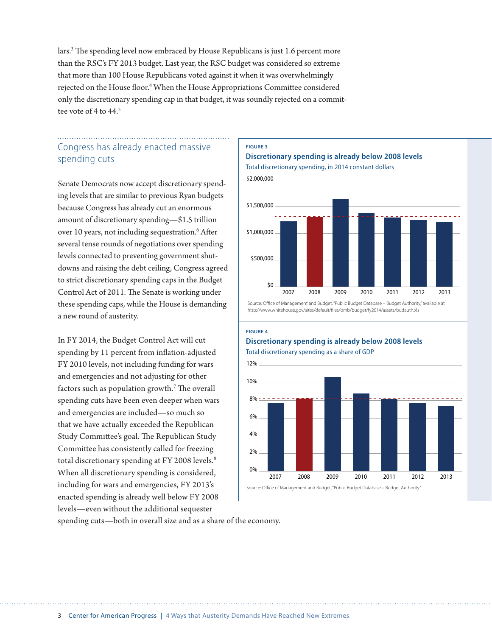lars.<sup>3</sup> The spending level now embraced by House Republicans is just 1.6 percent more than the RSC's FY 2013 budget. Last year, the RSC budget was considered so extreme that more than 100 House Republicans voted against it when it was overwhelmingly rejected on the House floor.<sup>4</sup> When the House Appropriations Committee considered only the discretionary spending cap in that budget, it was soundly rejected on a committee vote of 4 to 44.<sup>5</sup>

## Congress has already enacted massive spending cuts

Senate Democrats now accept discretionary spending levels that are similar to previous Ryan budgets because Congress has already cut an enormous amount of discretionary spending—\$1.5 trillion over 10 years, not including sequestration.<sup>6</sup> After several tense rounds of negotiations over spending levels connected to preventing government shutdowns and raising the debt ceiling, Congress agreed to strict discretionary spending caps in the Budget Control Act of 2011. The Senate is working under these spending caps, while the House is demanding a new round of austerity.

In FY 2014, the Budget Control Act will cut spending by 11 percent from inflation-adjusted FY 2010 levels, not including funding for wars and emergencies and not adjusting for other factors such as population growth.<sup>7</sup> The overall spending cuts have been even deeper when wars and emergencies are included—so much so that we have actually exceeded the Republican Study Committee's goal. The Republican Study Committee has consistently called for freezing total discretionary spending at FY 2008 levels.<sup>8</sup> When all discretionary spending is considered, including for wars and emergencies, FY 2013's enacted spending is already well below FY 2008 levels—even without the additional sequester

**FIGURE 3**



**Discretionary spending is already below 2008 levels**

Source: Office of Management and Budget, "Public Budget Database – Budget Authority," available at http://www.whitehouse.gov/sites/default/files/omb/budget/fy2014/assets/budauth.xls

#### **FIGURE 4**

#### **Discretionary spending is already below 2008 levels** Total discretionary spending as a share of GDP



spending cuts—both in overall size and as a share of the economy.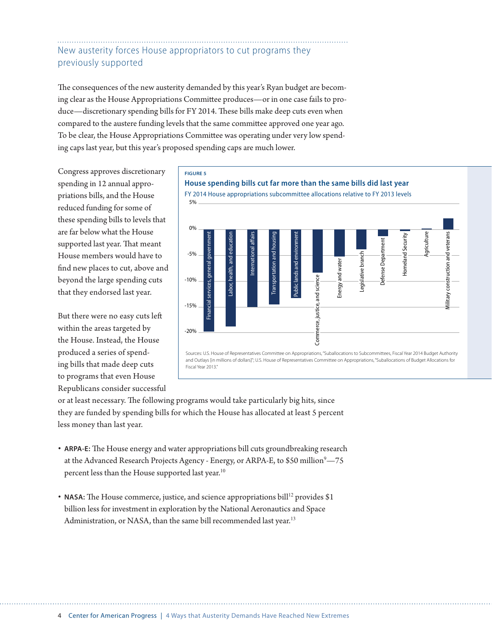## New austerity forces House appropriators to cut programs they previously supported

The consequences of the new austerity demanded by this year's Ryan budget are becoming clear as the House Appropriations Committee produces—or in one case fails to produce—discretionary spending bills for FY 2014. These bills make deep cuts even when compared to the austere funding levels that the same committee approved one year ago. To be clear, the House Appropriations Committee was operating under very low spending caps last year, but this year's proposed spending caps are much lower.

Congress approves discretionary spending in 12 annual appropriations bills, and the House reduced funding for some of these spending bills to levels that are far below what the House supported last year. That meant House members would have to find new places to cut, above and beyond the large spending cuts that they endorsed last year.

But there were no easy cuts left within the areas targeted by the House. Instead, the House produced a series of spending bills that made deep cuts to programs that even House Republicans consider successful

#### **FIGURE 5**





or at least necessary. The following programs would take particularly big hits, since they are funded by spending bills for which the House has allocated at least 5 percent less money than last year.

- **ARPA-E:** The House energy and water appropriations bill cuts groundbreaking research at the Advanced Research Projects Agency - Energy, or ARPA-E, to \$50 million $^9$ —75 percent less than the House supported last year.<sup>10</sup>
- NASA: The House commerce, justice, and science appropriations bill<sup>12</sup> provides \$1 billion less for investment in exploration by the National Aeronautics and Space Administration, or NASA, than the same bill recommended last year.<sup>13</sup>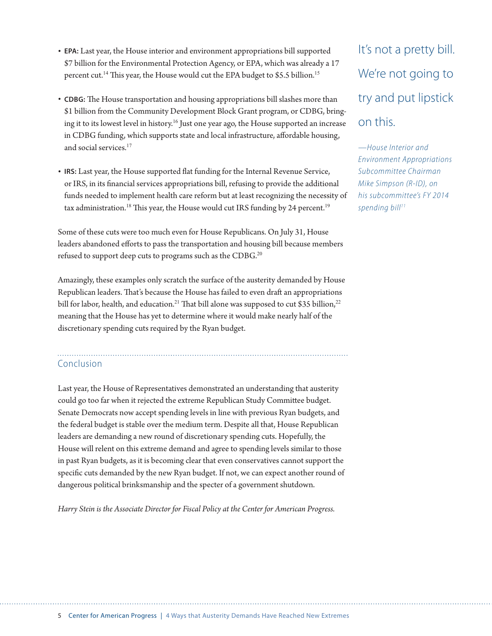- **EPA:** Last year, the House interior and environment appropriations bill supported \$7 billion for the Environmental Protection Agency, or EPA, which was already a 17 percent cut.<sup>14</sup> This year, the House would cut the EPA budget to \$5.5 billion.<sup>15</sup>
- **CDBG:** The House transportation and housing appropriations bill slashes more than \$1 billion from the Community Development Block Grant program, or CDBG, bringing it to its lowest level in history.<sup>16</sup> Just one year ago, the House supported an increase in CDBG funding, which supports state and local infrastructure, affordable housing, and social services.<sup>17</sup>
- **IRS:** Last year, the House supported flat funding for the Internal Revenue Service, or IRS, in its financial services appropriations bill, refusing to provide the additional funds needed to implement health care reform but at least recognizing the necessity of tax administration.<sup>18</sup> This year, the House would cut IRS funding by 24 percent.<sup>19</sup>

Some of these cuts were too much even for House Republicans. On July 31, House leaders abandoned efforts to pass the transportation and housing bill because members refused to support deep cuts to programs such as the CDBG.<sup>20</sup>

Amazingly, these examples only scratch the surface of the austerity demanded by House Republican leaders. That's because the House has failed to even draft an appropriations bill for labor, health, and education.<sup>21</sup> That bill alone was supposed to cut \$35 billion,<sup>22</sup> meaning that the House has yet to determine where it would make nearly half of the discretionary spending cuts required by the Ryan budget.

## Conclusion

Last year, the House of Representatives demonstrated an understanding that austerity could go too far when it rejected the extreme Republican Study Committee budget. Senate Democrats now accept spending levels in line with previous Ryan budgets, and the federal budget is stable over the medium term. Despite all that, House Republican leaders are demanding a new round of discretionary spending cuts. Hopefully, the House will relent on this extreme demand and agree to spending levels similar to those in past Ryan budgets, as it is becoming clear that even conservatives cannot support the specific cuts demanded by the new Ryan budget. If not, we can expect another round of dangerous political brinksmanship and the specter of a government shutdown.

*Harry Stein is the Associate Director for Fiscal Policy at the Center for American Progress.*

## It's not a pretty bill. We're not going to try and put lipstick on this.

*—House Interior and Environment Appropriations Subcommittee Chairman Mike Simpson (R-ID), on his subcommittee's FY 2014*  spending bill<sup>11</sup>